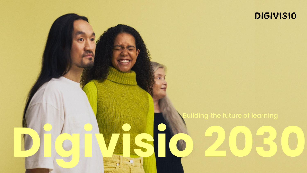Building the future of learning

**Digivisio 2030**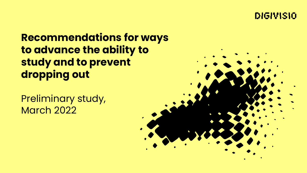# **Recommendations for ways to advance the ability to study and to prevent dropping out**

Preliminary study, March 2022

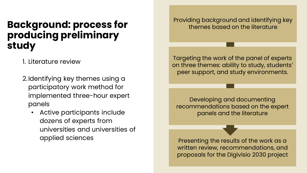### **Background: process for producing preliminary study**

- 1. Literature review
- 2.Identifying key themes using a participatory work method for implemented three-hour expert panels
	- Active participants include dozens of experts from universities and universities of applied sciences and results of the work as a

Providing background and identifying key themes based on the literature

Targeting the work of the panel of experts on three themes: ability to study, students' peer support, and study environments.

Developing and documenting recommendations based on the expert panels and the literature

written review, recommendations, and proposals for the Digivisio 2030 project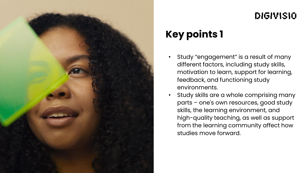

- Study "engagement" is a result of many different factors, including study skills, motivation to learn, support for learning, feedback, and functioning study environments.
- Study skills are a whole comprising many parts – one's own resources, good study skills, the learning environment, and high-quality teaching, as well as support from the learning community affect how studies move forward.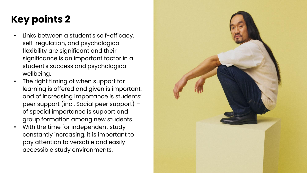- Links between a student's self-efficacy, self-regulation, and psychological flexibility are significant and their significance is an important factor in a student's success and psychological wellbeing.
- The right timing of when support for learning is offered and given is important, and of increasing importance is students' peer support (incl. Social peer support) – of special importance is support and group formation among new students.
- With the time for independent study constantly increasing, it is important to pay attention to versatile and easily accessible study environments.

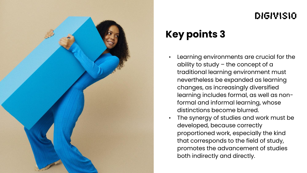

- Learning environments are crucial for the ability to study  $-$  the concept of a traditional learning environment must nevertheless be expanded as learning changes, as increasingly diversified learning includes formal, as well as nonformal and informal learning, whose distinctions become blurred.
- The synergy of studies and work must be developed, because correctly proportioned work, especially the kind that corresponds to the field of study, promotes the advancement of studies both indirectly and directly.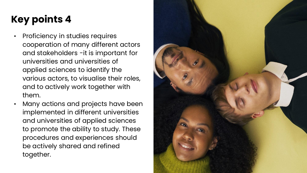- Proficiency in studies requires cooperation of many different actors and stakeholders -it is important for universities and universities of applied sciences to identify the various actors, to visualise their roles, and to actively work together with them.
- Many actions and projects have been implemented in different universities and universities of applied sciences to promote the ability to study. These procedures and experiences should be actively shared and refined together.

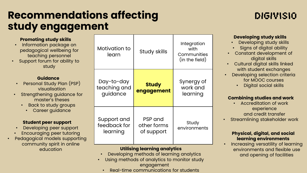# **Recommendations affecting study engagement**

#### **Promoting study skills**

- Information package on pedagogical wellbeing for teaching personnel
- Support forum for ability to study

#### **Guidance**

- Personal Study Plan (PSP) visualisation
- Strengthening guidance for master's theses
	- Back to study groups
		- Career guidance

#### **Student peer support**

- Developing peer support
- Encouraging peer tutoring
- Pedagogical models supporting community spirit in online education

| Motivation to<br>learn                  | <b>Study skills</b>                  | Integration<br>with<br>Communities<br>(in the field) |
|-----------------------------------------|--------------------------------------|------------------------------------------------------|
| Day-to-day<br>teaching and<br>guidance  | <b>Study</b><br>engagement           | Synergy of<br>work and<br>learning                   |
| Support and<br>feedback for<br>learning | PSP and<br>other forms<br>of support | Study<br>environments                                |

#### **Utilising learning analytics**

- Developing methods of learning analytics
- Using methods of analytics to monitor study engagement
	- Real-time communications for students

### **DIGIVISIO**

#### **Developing study skills**

- Developing study skills
- Signs of digital ability
- Constant development of digital skills
- Cultural digital skills linked with student exchanges
- **Developing selection criteria** for MOOC courses
	- Digital social skills

#### **Combining studies and work**

- Accreditation of work experience and credit transfer
- Streamlining stakeholder work

#### **Physical, digital, and social learning environments**

• Increasing versatility of learning environments and flexible use and opening of facilities